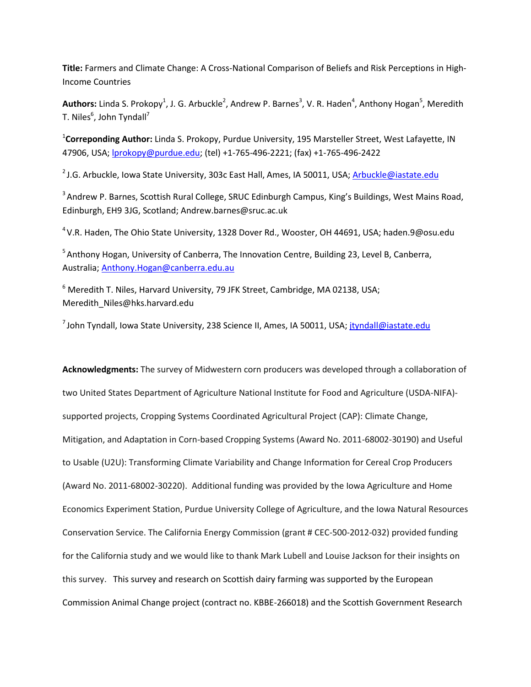**Title:** Farmers and Climate Change: A Cross-National Comparison of Beliefs and Risk Perceptions in High-Income Countries

Authors: Linda S. Prokopy<sup>1</sup>, J. G. Arbuckle<sup>2</sup>, Andrew P. Barnes<sup>3</sup>, V. R. Haden<sup>4</sup>, Anthony Hogan<sup>5</sup>, Meredith T. Niles $^6$ , John Tyndall<sup>7</sup>

1 **Correponding Author:** Linda S. Prokopy, Purdue University, 195 Marsteller Street, West Lafayette, IN 47906, USA; [lprokopy@purdue.edu;](mailto:lprokopy@purdue.edu) (tel) +1-765-496-2221; (fax) +1-765-496-2422

<sup>2</sup> J.G. Arbuckle, Iowa State University, 303c East Hall, Ames, IA 50011, USA[; Arbuckle@iastate.edu](mailto:Arbuckle@iastate.edu)

<sup>3</sup> Andrew P. Barnes, Scottish Rural College, SRUC Edinburgh Campus, King's Buildings, West Mains Road, Edinburgh, EH9 3JG, Scotland; Andrew.barnes@sruc.ac.uk

<sup>4</sup> V.R. Haden, The Ohio State University, 1328 Dover Rd., Wooster, OH 44691, USA; haden.9@osu.edu

<sup>5</sup> Anthony Hogan, University of Canberra, The Innovation Centre, Building 23, Level B, Canberra, Australia; [Anthony.Hogan@canberra.edu.au](mailto:Anthony.Hogan@canberra.edu.au)

<sup>6</sup> Meredith T. Niles, Harvard University, 79 JFK Street, Cambridge, MA 02138, USA; Meredith\_Niles@hks.harvard.edu

 $^7$ John Tyndall, Iowa State University, 238 Science II, Ames, IA 50011, USA; [jtyndall@iastate.edu](mailto:jtyndall@iastate.edu)

**Acknowledgments:** The survey of Midwestern corn producers was developed through a collaboration of two United States Department of Agriculture National Institute for Food and Agriculture (USDA-NIFA) supported projects, Cropping Systems Coordinated Agricultural Project (CAP): Climate Change, Mitigation, and Adaptation in Corn-based Cropping Systems (Award No. 2011-68002-30190) and Useful to Usable (U2U): Transforming Climate Variability and Change Information for Cereal Crop Producers (Award No. 2011-68002-30220). Additional funding was provided by the Iowa Agriculture and Home Economics Experiment Station, Purdue University College of Agriculture, and the Iowa Natural Resources Conservation Service. The California Energy Commission (grant # CEC-500-2012-032) provided funding for the California study and we would like to thank Mark Lubell and Louise Jackson for their insights on this survey. This survey and research on Scottish dairy farming was supported by the European Commission Animal Change project (contract no. KBBE-266018) and the Scottish Government Research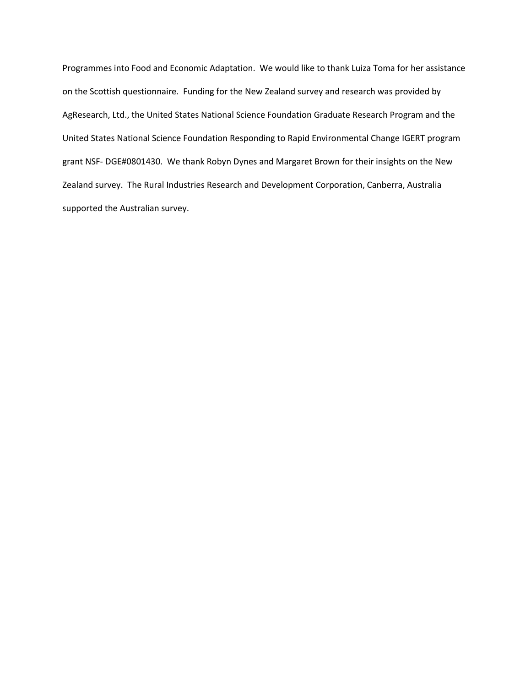Programmes into Food and Economic Adaptation. We would like to thank Luiza Toma for her assistance on the Scottish questionnaire. Funding for the New Zealand survey and research was provided by AgResearch, Ltd., the United States National Science Foundation Graduate Research Program and the United States National Science Foundation Responding to Rapid Environmental Change IGERT program grant NSF- DGE#0801430. We thank Robyn Dynes and Margaret Brown for their insights on the New Zealand survey. The Rural Industries Research and Development Corporation, Canberra, Australia supported the Australian survey.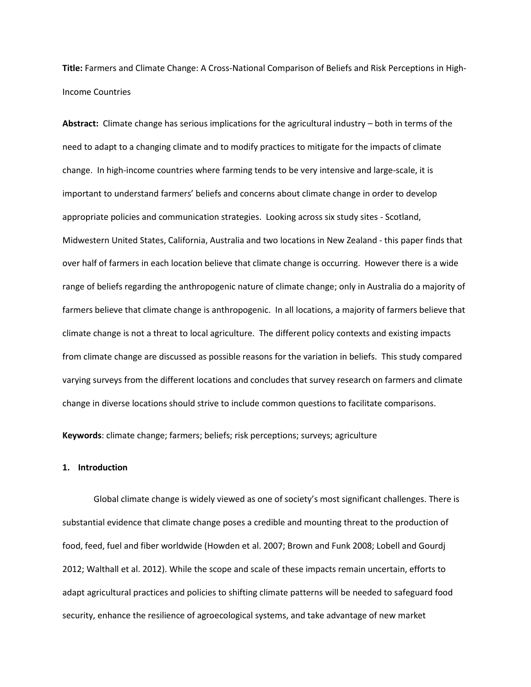**Title:** Farmers and Climate Change: A Cross-National Comparison of Beliefs and Risk Perceptions in High-Income Countries

**Abstract:** Climate change has serious implications for the agricultural industry – both in terms of the need to adapt to a changing climate and to modify practices to mitigate for the impacts of climate change. In high-income countries where farming tends to be very intensive and large-scale, it is important to understand farmers' beliefs and concerns about climate change in order to develop appropriate policies and communication strategies. Looking across six study sites - Scotland, Midwestern United States, California, Australia and two locations in New Zealand - this paper finds that over half of farmers in each location believe that climate change is occurring. However there is a wide range of beliefs regarding the anthropogenic nature of climate change; only in Australia do a majority of farmers believe that climate change is anthropogenic. In all locations, a majority of farmers believe that climate change is not a threat to local agriculture. The different policy contexts and existing impacts from climate change are discussed as possible reasons for the variation in beliefs. This study compared varying surveys from the different locations and concludes that survey research on farmers and climate change in diverse locations should strive to include common questions to facilitate comparisons.

**Keywords**: climate change; farmers; beliefs; risk perceptions; surveys; agriculture

## **1. Introduction**

Global climate change is widely viewed as one of society's most significant challenges. There is substantial evidence that climate change poses a credible and mounting threat to the production of food, feed, fuel and fiber worldwide (Howden et al. 2007; Brown and Funk 2008; Lobell and Gourdj 2012; Walthall et al. 2012). While the scope and scale of these impacts remain uncertain, efforts to adapt agricultural practices and policies to shifting climate patterns will be needed to safeguard food security, enhance the resilience of agroecological systems, and take advantage of new market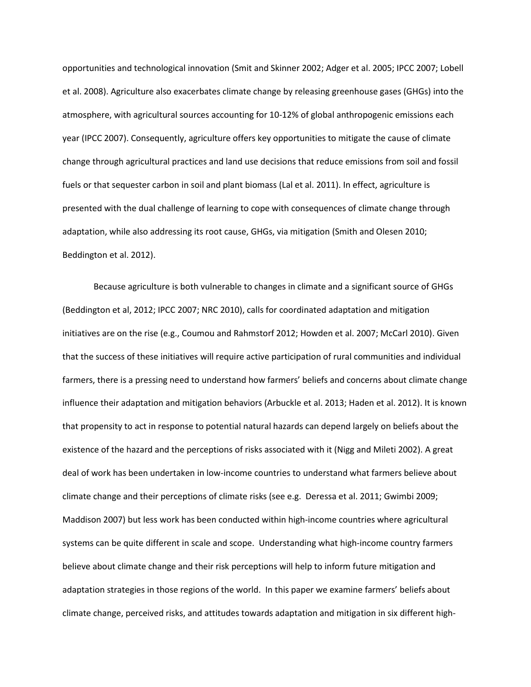opportunities and technological innovation (Smit and Skinner 2002; Adger et al. 2005; IPCC 2007; Lobell et al. 2008). Agriculture also exacerbates climate change by releasing greenhouse gases (GHGs) into the atmosphere, with agricultural sources accounting for 10-12% of global anthropogenic emissions each year (IPCC 2007). Consequently, agriculture offers key opportunities to mitigate the cause of climate change through agricultural practices and land use decisions that reduce emissions from soil and fossil fuels or that sequester carbon in soil and plant biomass (Lal et al. 2011). In effect, agriculture is presented with the dual challenge of learning to cope with consequences of climate change through adaptation, while also addressing its root cause, GHGs, via mitigation (Smith and Olesen 2010; Beddington et al. 2012).

Because agriculture is both vulnerable to changes in climate and a significant source of GHGs (Beddington et al, 2012; IPCC 2007; NRC 2010), calls for coordinated adaptation and mitigation initiatives are on the rise (e.g., Coumou and Rahmstorf 2012; Howden et al. 2007; McCarl 2010). Given that the success of these initiatives will require active participation of rural communities and individual farmers, there is a pressing need to understand how farmers' beliefs and concerns about climate change influence their adaptation and mitigation behaviors (Arbuckle et al. 2013; Haden et al. 2012). It is known that propensity to act in response to potential natural hazards can depend largely on beliefs about the existence of the hazard and the perceptions of risks associated with it (Nigg and Mileti 2002). A great deal of work has been undertaken in low-income countries to understand what farmers believe about climate change and their perceptions of climate risks (see e.g. Deressa et al. 2011; Gwimbi 2009; Maddison 2007) but less work has been conducted within high-income countries where agricultural systems can be quite different in scale and scope. Understanding what high-income country farmers believe about climate change and their risk perceptions will help to inform future mitigation and adaptation strategies in those regions of the world. In this paper we examine farmers' beliefs about climate change, perceived risks, and attitudes towards adaptation and mitigation in six different high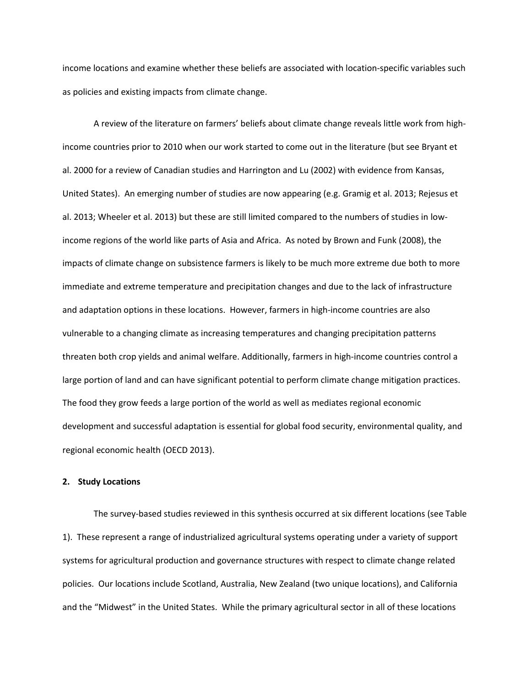income locations and examine whether these beliefs are associated with location-specific variables such as policies and existing impacts from climate change.

A review of the literature on farmers' beliefs about climate change reveals little work from highincome countries prior to 2010 when our work started to come out in the literature (but see Bryant et al. 2000 for a review of Canadian studies and Harrington and Lu (2002) with evidence from Kansas, United States). An emerging number of studies are now appearing (e.g. Gramig et al. 2013; Rejesus et al. 2013; Wheeler et al. 2013) but these are still limited compared to the numbers of studies in lowincome regions of the world like parts of Asia and Africa. As noted by Brown and Funk (2008), the impacts of climate change on subsistence farmers is likely to be much more extreme due both to more immediate and extreme temperature and precipitation changes and due to the lack of infrastructure and adaptation options in these locations. However, farmers in high-income countries are also vulnerable to a changing climate as increasing temperatures and changing precipitation patterns threaten both crop yields and animal welfare. Additionally, farmers in high-income countries control a large portion of land and can have significant potential to perform climate change mitigation practices. The food they grow feeds a large portion of the world as well as mediates regional economic development and successful adaptation is essential for global food security, environmental quality, and regional economic health (OECD 2013).

# **2. Study Locations**

The survey-based studies reviewed in this synthesis occurred at six different locations (see Table 1). These represent a range of industrialized agricultural systems operating under a variety of support systems for agricultural production and governance structures with respect to climate change related policies. Our locations include Scotland, Australia, New Zealand (two unique locations), and California and the "Midwest" in the United States. While the primary agricultural sector in all of these locations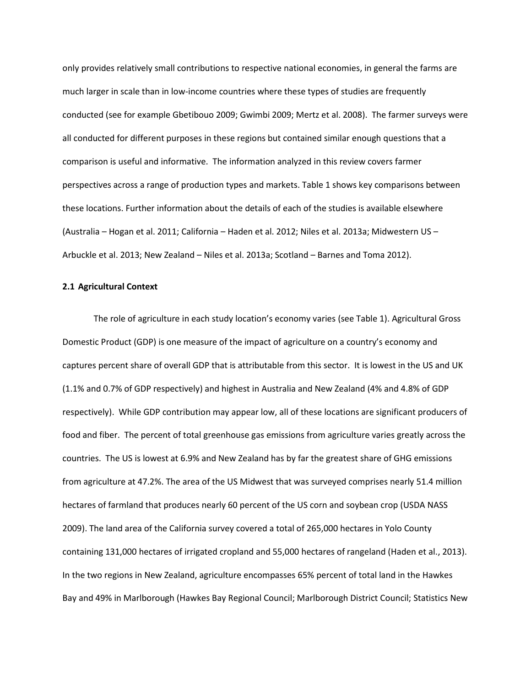only provides relatively small contributions to respective national economies, in general the farms are much larger in scale than in low-income countries where these types of studies are frequently conducted (see for example Gbetibouo 2009; Gwimbi 2009; Mertz et al. 2008). The farmer surveys were all conducted for different purposes in these regions but contained similar enough questions that a comparison is useful and informative. The information analyzed in this review covers farmer perspectives across a range of production types and markets. Table 1 shows key comparisons between these locations. Further information about the details of each of the studies is available elsewhere (Australia – Hogan et al. 2011; California – Haden et al. 2012; Niles et al. 2013a; Midwestern US – Arbuckle et al. 2013; New Zealand – Niles et al. 2013a; Scotland – Barnes and Toma 2012).

# **2.1 Agricultural Context**

The role of agriculture in each study location's economy varies (see Table 1). Agricultural Gross Domestic Product (GDP) is one measure of the impact of agriculture on a country's economy and captures percent share of overall GDP that is attributable from this sector. It is lowest in the US and UK (1.1% and 0.7% of GDP respectively) and highest in Australia and New Zealand (4% and 4.8% of GDP respectively). While GDP contribution may appear low, all of these locations are significant producers of food and fiber. The percent of total greenhouse gas emissions from agriculture varies greatly across the countries. The US is lowest at 6.9% and New Zealand has by far the greatest share of GHG emissions from agriculture at 47.2%. The area of the US Midwest that was surveyed comprises nearly 51.4 million hectares of farmland that produces nearly 60 percent of the US corn and soybean crop (USDA NASS 2009). The land area of the California survey covered a total of 265,000 hectares in Yolo County containing 131,000 hectares of irrigated cropland and 55,000 hectares of rangeland (Haden et al., 2013). In the two regions in New Zealand, agriculture encompasses 65% percent of total land in the Hawkes Bay and 49% in Marlborough (Hawkes Bay Regional Council; Marlborough District Council; Statistics New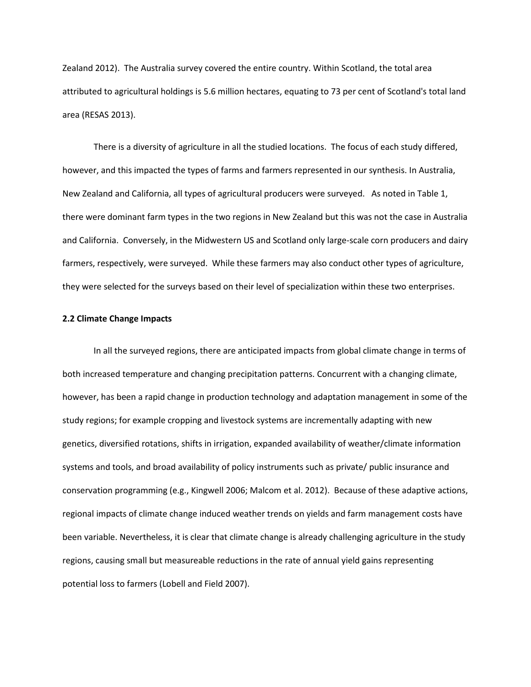Zealand 2012). The Australia survey covered the entire country. Within Scotland, the total area attributed to agricultural holdings is 5.6 million hectares, equating to 73 per cent of Scotland's total land area (RESAS 2013).

There is a diversity of agriculture in all the studied locations. The focus of each study differed, however, and this impacted the types of farms and farmers represented in our synthesis. In Australia, New Zealand and California, all types of agricultural producers were surveyed. As noted in Table 1, there were dominant farm types in the two regions in New Zealand but this was not the case in Australia and California. Conversely, in the Midwestern US and Scotland only large-scale corn producers and dairy farmers, respectively, were surveyed. While these farmers may also conduct other types of agriculture, they were selected for the surveys based on their level of specialization within these two enterprises.

## **2.2 Climate Change Impacts**

In all the surveyed regions, there are anticipated impacts from global climate change in terms of both increased temperature and changing precipitation patterns. Concurrent with a changing climate, however, has been a rapid change in production technology and adaptation management in some of the study regions; for example cropping and livestock systems are incrementally adapting with new genetics, diversified rotations, shifts in irrigation, expanded availability of weather/climate information systems and tools, and broad availability of policy instruments such as private/ public insurance and conservation programming (e.g., Kingwell 2006; Malcom et al. 2012). Because of these adaptive actions, regional impacts of climate change induced weather trends on yields and farm management costs have been variable. Nevertheless, it is clear that climate change is already challenging agriculture in the study regions, causing small but measureable reductions in the rate of annual yield gains representing potential loss to farmers (Lobell and Field 2007).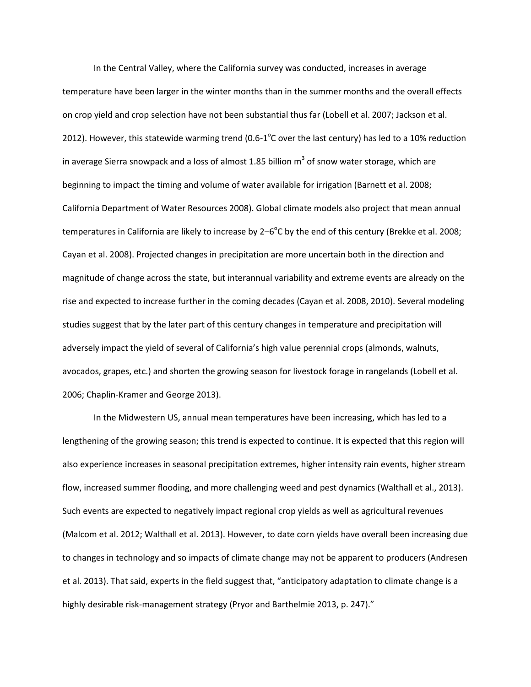In the Central Valley, where the California survey was conducted, increases in average temperature have been larger in the winter months than in the summer months and the overall effects on crop yield and crop selection have not been substantial thus far (Lobell et al. 2007; Jackson et al. 2012). However, this statewide warming trend (0.6-1 $^{\circ}$ C over the last century) has led to a 10% reduction in average Sierra snowpack and a loss of almost 1.85 billion  $m^3$  of snow water storage, which are beginning to impact the timing and volume of water available for irrigation (Barnett et al. 2008; California Department of Water Resources 2008). Global climate models also project that mean annual temperatures in California are likely to increase by 2–6 $^{\circ}$ C by the end of this century (Brekke et al. 2008; Cayan et al. 2008). Projected changes in precipitation are more uncertain both in the direction and magnitude of change across the state, but interannual variability and extreme events are already on the rise and expected to increase further in the coming decades (Cayan et al. 2008, 2010). Several modeling studies suggest that by the later part of this century changes in temperature and precipitation will adversely impact the yield of several of California's high value perennial crops (almonds, walnuts, avocados, grapes, etc.) and shorten the growing season for livestock forage in rangelands (Lobell et al. 2006; Chaplin-Kramer and George 2013).

In the Midwestern US, annual mean temperatures have been increasing, which has led to a lengthening of the growing season; this trend is expected to continue. It is expected that this region will also experience increases in seasonal precipitation extremes, higher intensity rain events, higher stream flow, increased summer flooding, and more challenging weed and pest dynamics (Walthall et al., 2013). Such events are expected to negatively impact regional crop yields as well as agricultural revenues (Malcom et al. 2012; Walthall et al. 2013). However, to date corn yields have overall been increasing due to changes in technology and so impacts of climate change may not be apparent to producers (Andresen et al. 2013). That said, experts in the field suggest that, "anticipatory adaptation to climate change is a highly desirable risk-management strategy (Pryor and Barthelmie 2013, p. 247)."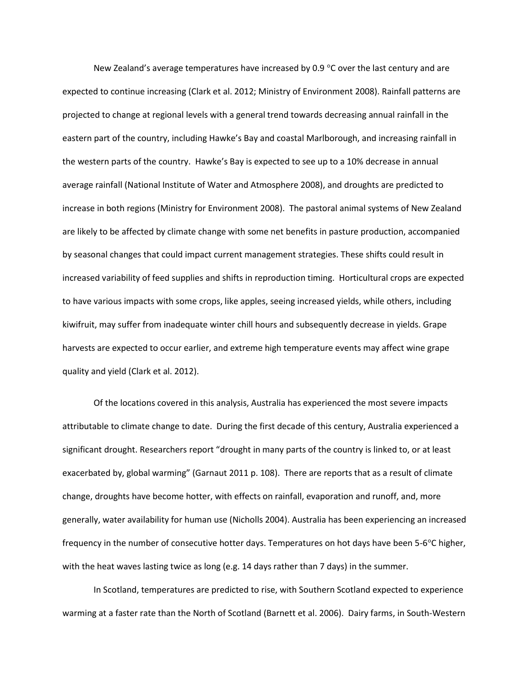New Zealand's average temperatures have increased by 0.9  $\degree$ C over the last century and are expected to continue increasing (Clark et al. 2012; Ministry of Environment 2008). Rainfall patterns are projected to change at regional levels with a general trend towards decreasing annual rainfall in the eastern part of the country, including Hawke's Bay and coastal Marlborough, and increasing rainfall in the western parts of the country. Hawke's Bay is expected to see up to a 10% decrease in annual average rainfall (National Institute of Water and Atmosphere 2008), and droughts are predicted to increase in both regions (Ministry for Environment 2008). The pastoral animal systems of New Zealand are likely to be affected by climate change with some net benefits in pasture production, accompanied by seasonal changes that could impact current management strategies. These shifts could result in increased variability of feed supplies and shifts in reproduction timing. Horticultural crops are expected to have various impacts with some crops, like apples, seeing increased yields, while others, including kiwifruit, may suffer from inadequate winter chill hours and subsequently decrease in yields. Grape harvests are expected to occur earlier, and extreme high temperature events may affect wine grape quality and yield (Clark et al. 2012).

Of the locations covered in this analysis, Australia has experienced the most severe impacts attributable to climate change to date. During the first decade of this century, Australia experienced a significant drought. Researchers report "drought in many parts of the country is linked to, or at least exacerbated by, global warming" (Garnaut 2011 p. 108). There are reports that as a result of climate change, droughts have become hotter, with effects on rainfall, evaporation and runoff, and, more generally, water availability for human use (Nicholls 2004). Australia has been experiencing an increased frequency in the number of consecutive hotter days. Temperatures on hot days have been 5-6°C higher, with the heat waves lasting twice as long (e.g. 14 days rather than 7 days) in the summer.

In Scotland, temperatures are predicted to rise, with Southern Scotland expected to experience warming at a faster rate than the North of Scotland (Barnett et al. 2006). Dairy farms, in South-Western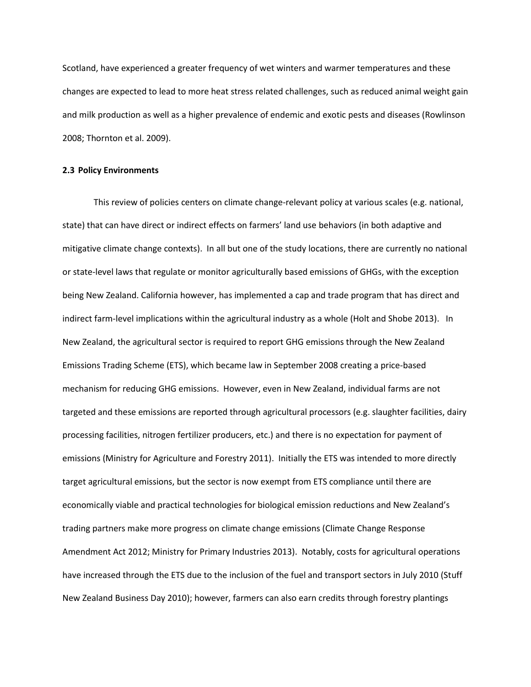Scotland, have experienced a greater frequency of wet winters and warmer temperatures and these changes are expected to lead to more heat stress related challenges, such as reduced animal weight gain and milk production as well as a higher prevalence of endemic and exotic pests and diseases (Rowlinson 2008; Thornton et al. 2009).

## **2.3 Policy Environments**

This review of policies centers on climate change-relevant policy at various scales (e.g. national, state) that can have direct or indirect effects on farmers' land use behaviors (in both adaptive and mitigative climate change contexts). In all but one of the study locations, there are currently no national or state-level laws that regulate or monitor agriculturally based emissions of GHGs, with the exception being New Zealand. California however, has implemented a cap and trade program that has direct and indirect farm-level implications within the agricultural industry as a whole (Holt and Shobe 2013). In New Zealand, the agricultural sector is required to report GHG emissions through the New Zealand Emissions Trading Scheme (ETS), which became law in September 2008 creating a price-based mechanism for reducing GHG emissions. However, even in New Zealand, individual farms are not targeted and these emissions are reported through agricultural processors (e.g. slaughter facilities, dairy processing facilities, nitrogen fertilizer producers, etc.) and there is no expectation for payment of emissions (Ministry for Agriculture and Forestry 2011). Initially the ETS was intended to more directly target agricultural emissions, but the sector is now exempt from ETS compliance until there are economically viable and practical technologies for biological emission reductions and New Zealand's trading partners make more progress on climate change emissions (Climate Change Response Amendment Act 2012; Ministry for Primary Industries 2013). Notably, costs for agricultural operations have increased through the ETS due to the inclusion of the fuel and transport sectors in July 2010 (Stuff New Zealand Business Day 2010); however, farmers can also earn credits through forestry plantings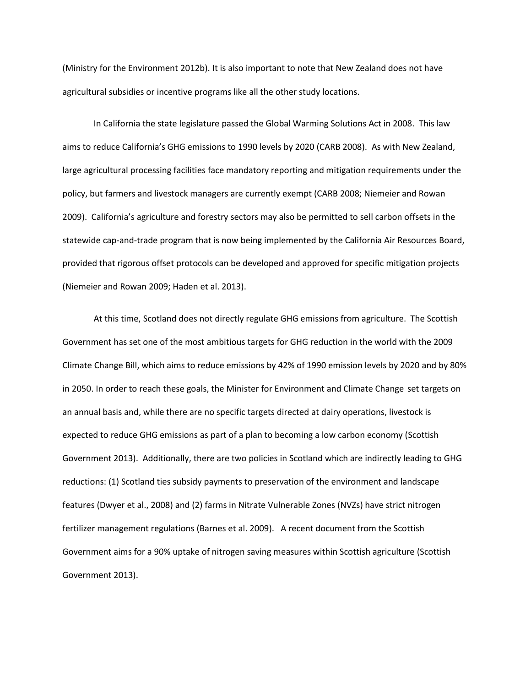(Ministry for the Environment 2012b). It is also important to note that New Zealand does not have agricultural subsidies or incentive programs like all the other study locations.

In California the state legislature passed the Global Warming Solutions Act in 2008. This law aims to reduce California's GHG emissions to 1990 levels by 2020 (CARB 2008). As with New Zealand, large agricultural processing facilities face mandatory reporting and mitigation requirements under the policy, but farmers and livestock managers are currently exempt (CARB 2008; Niemeier and Rowan 2009). California's agriculture and forestry sectors may also be permitted to sell carbon offsets in the statewide cap-and-trade program that is now being implemented by the California Air Resources Board, provided that rigorous offset protocols can be developed and approved for specific mitigation projects (Niemeier and Rowan 2009; Haden et al. 2013).

At this time, Scotland does not directly regulate GHG emissions from agriculture. The Scottish Government has set one of the most ambitious targets for GHG reduction in the world with the 2009 Climate Change Bill, which aims to reduce emissions by 42% of 1990 emission levels by 2020 and by 80% in 2050. In order to reach these goals, the Minister for Environment and Climate Change set targets on an annual basis and, while there are no specific targets directed at dairy operations, livestock is expected to reduce GHG emissions as part of a plan to becoming a low carbon economy (Scottish Government 2013). Additionally, there are two policies in Scotland which are indirectly leading to GHG reductions: (1) Scotland ties subsidy payments to preservation of the environment and landscape features (Dwyer et al., 2008) and (2) farms in Nitrate Vulnerable Zones (NVZs) have strict nitrogen fertilizer management regulations (Barnes et al. 2009). A recent document from the Scottish Government aims for a 90% uptake of nitrogen saving measures within Scottish agriculture (Scottish Government 2013).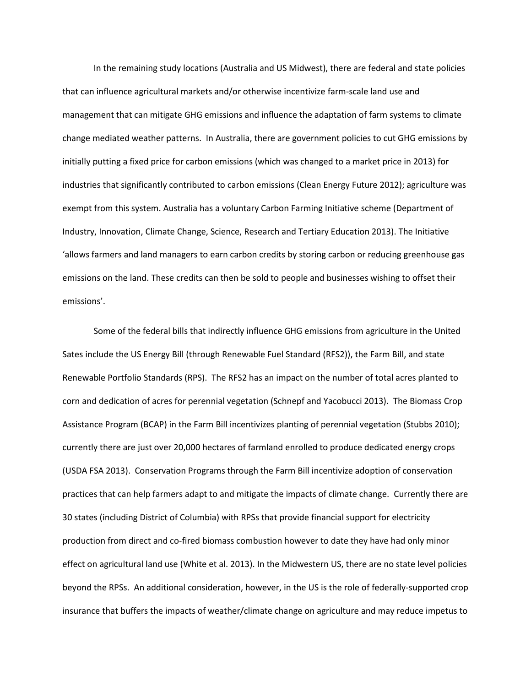In the remaining study locations (Australia and US Midwest), there are federal and state policies that can influence agricultural markets and/or otherwise incentivize farm-scale land use and management that can mitigate GHG emissions and influence the adaptation of farm systems to climate change mediated weather patterns. In Australia, there are government policies to cut GHG emissions by initially putting a fixed price for carbon emissions (which was changed to a market price in 2013) for industries that significantly contributed to carbon emissions (Clean Energy Future 2012); agriculture was exempt from this system. Australia has a voluntary Carbon Farming Initiative scheme (Department of Industry, Innovation, Climate Change, Science, Research and Tertiary Education 2013). The Initiative 'allows farmers and land managers to earn carbon credits by storing carbon or reducing greenhouse gas emissions on the land. These credits can then be sold to people and businesses wishing to offset their emissions'.

Some of the federal bills that indirectly influence GHG emissions from agriculture in the United Sates include the US Energy Bill (through Renewable Fuel Standard (RFS2)), the Farm Bill, and state Renewable Portfolio Standards (RPS). The RFS2 has an impact on the number of total acres planted to corn and dedication of acres for perennial vegetation (Schnepf and Yacobucci 2013). The Biomass Crop Assistance Program (BCAP) in the Farm Bill incentivizes planting of perennial vegetation (Stubbs 2010); currently there are just over 20,000 hectares of farmland enrolled to produce dedicated energy crops (USDA FSA 2013). Conservation Programs through the Farm Bill incentivize adoption of conservation practices that can help farmers adapt to and mitigate the impacts of climate change. Currently there are 30 states (including District of Columbia) with RPSs that provide financial support for electricity production from direct and co-fired biomass combustion however to date they have had only minor effect on agricultural land use (White et al. 2013). In the Midwestern US, there are no state level policies beyond the RPSs. An additional consideration, however, in the US is the role of federally-supported crop insurance that buffers the impacts of weather/climate change on agriculture and may reduce impetus to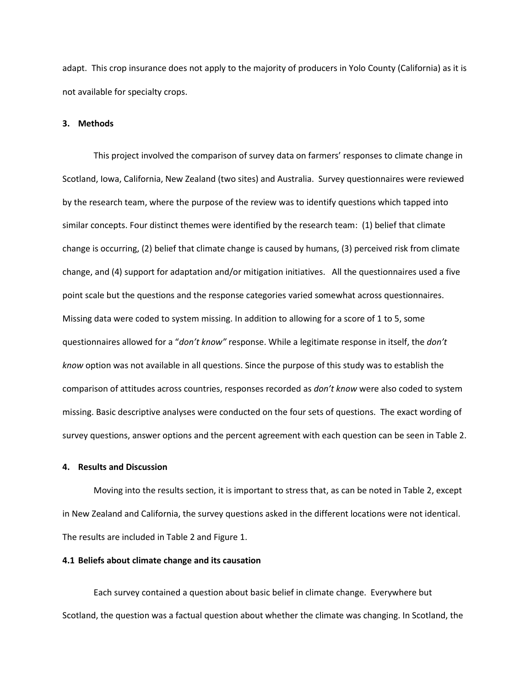adapt. This crop insurance does not apply to the majority of producers in Yolo County (California) as it is not available for specialty crops.

# **3. Methods**

This project involved the comparison of survey data on farmers' responses to climate change in Scotland, Iowa, California, New Zealand (two sites) and Australia. Survey questionnaires were reviewed by the research team, where the purpose of the review was to identify questions which tapped into similar concepts. Four distinct themes were identified by the research team: (1) belief that climate change is occurring, (2) belief that climate change is caused by humans, (3) perceived risk from climate change, and (4) support for adaptation and/or mitigation initiatives. All the questionnaires used a five point scale but the questions and the response categories varied somewhat across questionnaires. Missing data were coded to system missing. In addition to allowing for a score of 1 to 5, some questionnaires allowed for a "*don't know"* response. While a legitimate response in itself, the *don't know* option was not available in all questions. Since the purpose of this study was to establish the comparison of attitudes across countries, responses recorded as *don't know* were also coded to system missing. Basic descriptive analyses were conducted on the four sets of questions. The exact wording of survey questions, answer options and the percent agreement with each question can be seen in Table 2.

## **4. Results and Discussion**

Moving into the results section, it is important to stress that, as can be noted in Table 2, except in New Zealand and California, the survey questions asked in the different locations were not identical. The results are included in Table 2 and Figure 1.

#### **4.1 Beliefs about climate change and its causation**

Each survey contained a question about basic belief in climate change. Everywhere but Scotland, the question was a factual question about whether the climate was changing. In Scotland, the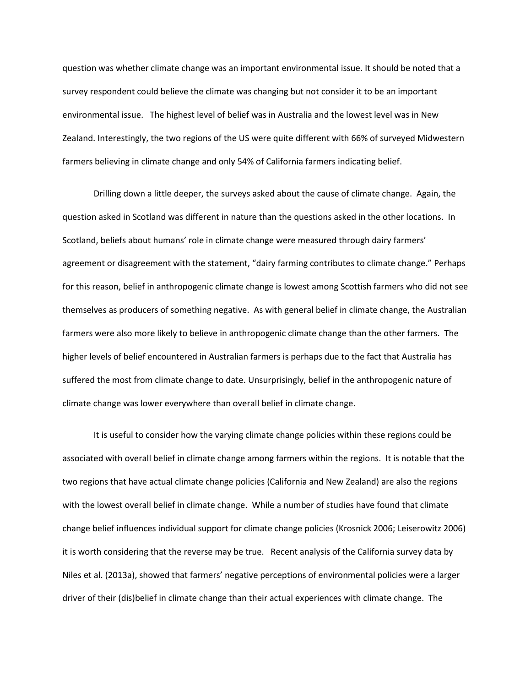question was whether climate change was an important environmental issue. It should be noted that a survey respondent could believe the climate was changing but not consider it to be an important environmental issue. The highest level of belief was in Australia and the lowest level was in New Zealand. Interestingly, the two regions of the US were quite different with 66% of surveyed Midwestern farmers believing in climate change and only 54% of California farmers indicating belief.

Drilling down a little deeper, the surveys asked about the cause of climate change. Again, the question asked in Scotland was different in nature than the questions asked in the other locations. In Scotland, beliefs about humans' role in climate change were measured through dairy farmers' agreement or disagreement with the statement, "dairy farming contributes to climate change." Perhaps for this reason, belief in anthropogenic climate change is lowest among Scottish farmers who did not see themselves as producers of something negative. As with general belief in climate change, the Australian farmers were also more likely to believe in anthropogenic climate change than the other farmers. The higher levels of belief encountered in Australian farmers is perhaps due to the fact that Australia has suffered the most from climate change to date. Unsurprisingly, belief in the anthropogenic nature of climate change was lower everywhere than overall belief in climate change.

It is useful to consider how the varying climate change policies within these regions could be associated with overall belief in climate change among farmers within the regions. It is notable that the two regions that have actual climate change policies (California and New Zealand) are also the regions with the lowest overall belief in climate change. While a number of studies have found that climate change belief influences individual support for climate change policies (Krosnick 2006; Leiserowitz 2006) it is worth considering that the reverse may be true. Recent analysis of the California survey data by Niles et al. (2013a), showed that farmers' negative perceptions of environmental policies were a larger driver of their (dis)belief in climate change than their actual experiences with climate change. The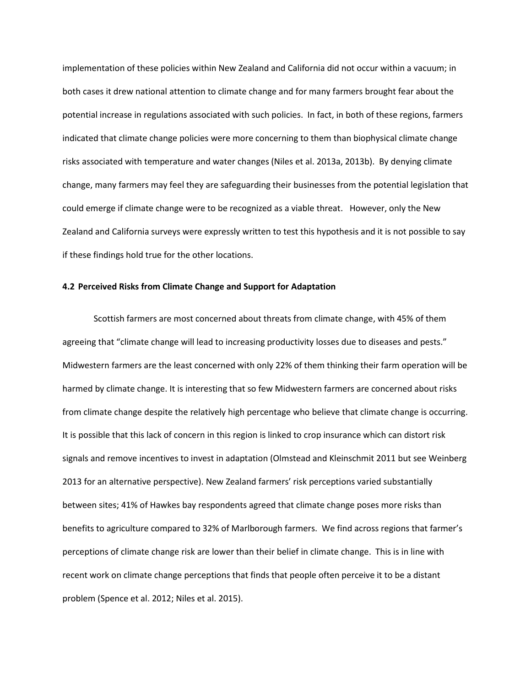implementation of these policies within New Zealand and California did not occur within a vacuum; in both cases it drew national attention to climate change and for many farmers brought fear about the potential increase in regulations associated with such policies. In fact, in both of these regions, farmers indicated that climate change policies were more concerning to them than biophysical climate change risks associated with temperature and water changes (Niles et al. 2013a, 2013b). By denying climate change, many farmers may feel they are safeguarding their businesses from the potential legislation that could emerge if climate change were to be recognized as a viable threat. However, only the New Zealand and California surveys were expressly written to test this hypothesis and it is not possible to say if these findings hold true for the other locations.

# **4.2 Perceived Risks from Climate Change and Support for Adaptation**

Scottish farmers are most concerned about threats from climate change, with 45% of them agreeing that "climate change will lead to increasing productivity losses due to diseases and pests." Midwestern farmers are the least concerned with only 22% of them thinking their farm operation will be harmed by climate change. It is interesting that so few Midwestern farmers are concerned about risks from climate change despite the relatively high percentage who believe that climate change is occurring. It is possible that this lack of concern in this region is linked to crop insurance which can distort risk signals and remove incentives to invest in adaptation (Olmstead and Kleinschmit 2011 but see Weinberg 2013 for an alternative perspective). New Zealand farmers' risk perceptions varied substantially between sites; 41% of Hawkes bay respondents agreed that climate change poses more risks than benefits to agriculture compared to 32% of Marlborough farmers. We find across regions that farmer's perceptions of climate change risk are lower than their belief in climate change. This is in line with recent work on climate change perceptions that finds that people often perceive it to be a distant problem (Spence et al. 2012; Niles et al. 2015).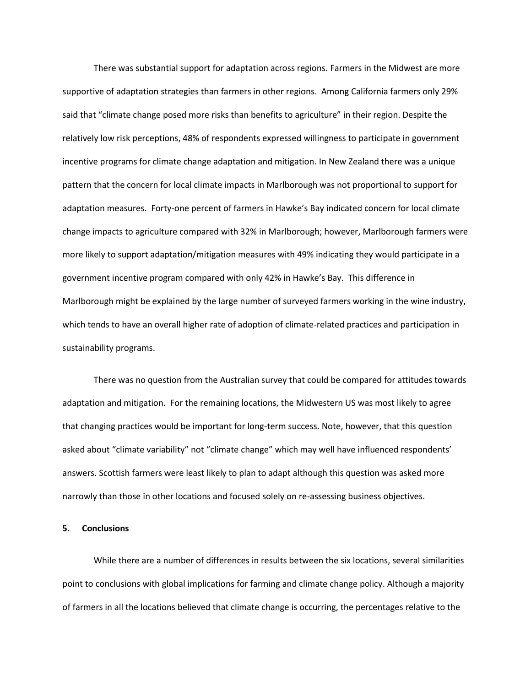There was substantial support for adaptation across regions. Farmers in the Midwest are more supportive of adaptation strategies than farmers in other regions. Among California farmers only 29% said that "climate change posed more risks than benefits to agriculture" in their region. Despite the relatively low risk perceptions, 48% of respondents expressed willingness to participate in government incentive programs for climate change adaptation and mitigation. In New Zealand there was a unique pattern that the concern for local climate impacts in Marlborough was not proportional to support for adaptation measures. Forty-one percent of farmers in Hawke's Bay indicated concern for local climate change impacts to agriculture compared with 32% in Marlborough; however, Marlborough farmers were more likely to support adaptation/mitigation measures with 49% indicating they would participate in a government incentive program compared with only 42% in Hawke's Bay. This difference in Marlborough might be explained by the large number of surveyed farmers working in the wine industry, which tends to have an overall higher rate of adoption of climate-related practices and participation in sustainability programs.

There was no question from the Australian survey that could be compared for attitudes towards adaptation and mitigation. For the remaining locations, the Midwestern US was most likely to agree that changing practices would be important for long-term success. Note, however, that this question asked about "climate variability" not "climate change" which may well have influenced respondents' answers. Scottish farmers were least likely to plan to adapt although this question was asked more narrowly than those in other locations and focused solely on re-assessing business objectives.

#### **5. Conclusions**

While there are a number of differences in results between the six locations, several similarities point to conclusions with global implications for farming and climate change policy. Although a majority of farmers in all the locations believed that climate change is occurring, the percentages relative to the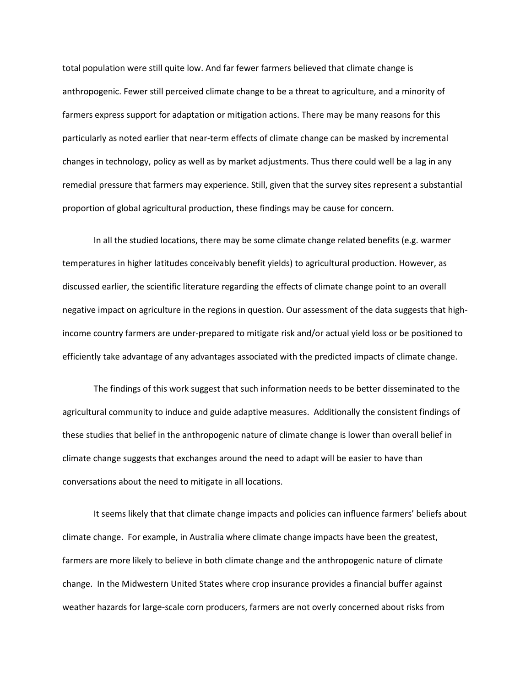total population were still quite low. And far fewer farmers believed that climate change is anthropogenic. Fewer still perceived climate change to be a threat to agriculture, and a minority of farmers express support for adaptation or mitigation actions. There may be many reasons for this particularly as noted earlier that near-term effects of climate change can be masked by incremental changes in technology, policy as well as by market adjustments. Thus there could well be a lag in any remedial pressure that farmers may experience. Still, given that the survey sites represent a substantial proportion of global agricultural production, these findings may be cause for concern.

In all the studied locations, there may be some climate change related benefits (e.g. warmer temperatures in higher latitudes conceivably benefit yields) to agricultural production. However, as discussed earlier, the scientific literature regarding the effects of climate change point to an overall negative impact on agriculture in the regions in question. Our assessment of the data suggests that highincome country farmers are under-prepared to mitigate risk and/or actual yield loss or be positioned to efficiently take advantage of any advantages associated with the predicted impacts of climate change.

The findings of this work suggest that such information needs to be better disseminated to the agricultural community to induce and guide adaptive measures. Additionally the consistent findings of these studies that belief in the anthropogenic nature of climate change is lower than overall belief in climate change suggests that exchanges around the need to adapt will be easier to have than conversations about the need to mitigate in all locations.

It seems likely that that climate change impacts and policies can influence farmers' beliefs about climate change. For example, in Australia where climate change impacts have been the greatest, farmers are more likely to believe in both climate change and the anthropogenic nature of climate change. In the Midwestern United States where crop insurance provides a financial buffer against weather hazards for large-scale corn producers, farmers are not overly concerned about risks from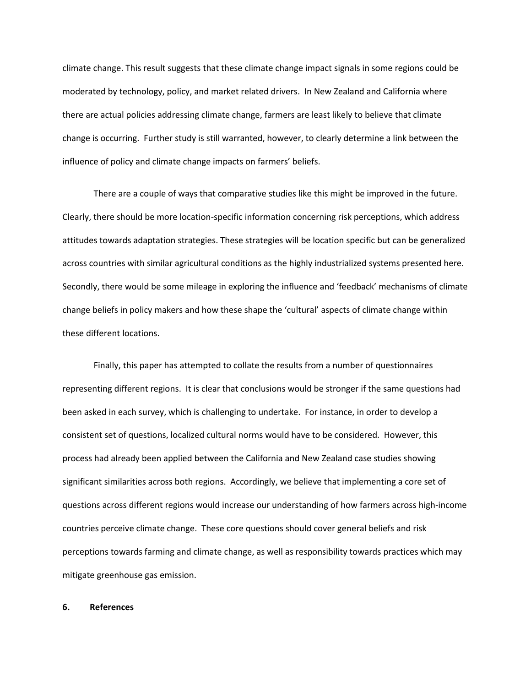climate change. This result suggests that these climate change impact signals in some regions could be moderated by technology, policy, and market related drivers. In New Zealand and California where there are actual policies addressing climate change, farmers are least likely to believe that climate change is occurring. Further study is still warranted, however, to clearly determine a link between the influence of policy and climate change impacts on farmers' beliefs.

There are a couple of ways that comparative studies like this might be improved in the future. Clearly, there should be more location-specific information concerning risk perceptions, which address attitudes towards adaptation strategies. These strategies will be location specific but can be generalized across countries with similar agricultural conditions as the highly industrialized systems presented here. Secondly, there would be some mileage in exploring the influence and 'feedback' mechanisms of climate change beliefs in policy makers and how these shape the 'cultural' aspects of climate change within these different locations.

Finally, this paper has attempted to collate the results from a number of questionnaires representing different regions. It is clear that conclusions would be stronger if the same questions had been asked in each survey, which is challenging to undertake. For instance, in order to develop a consistent set of questions, localized cultural norms would have to be considered. However, this process had already been applied between the California and New Zealand case studies showing significant similarities across both regions. Accordingly, we believe that implementing a core set of questions across different regions would increase our understanding of how farmers across high-income countries perceive climate change. These core questions should cover general beliefs and risk perceptions towards farming and climate change, as well as responsibility towards practices which may mitigate greenhouse gas emission.

### **6. References**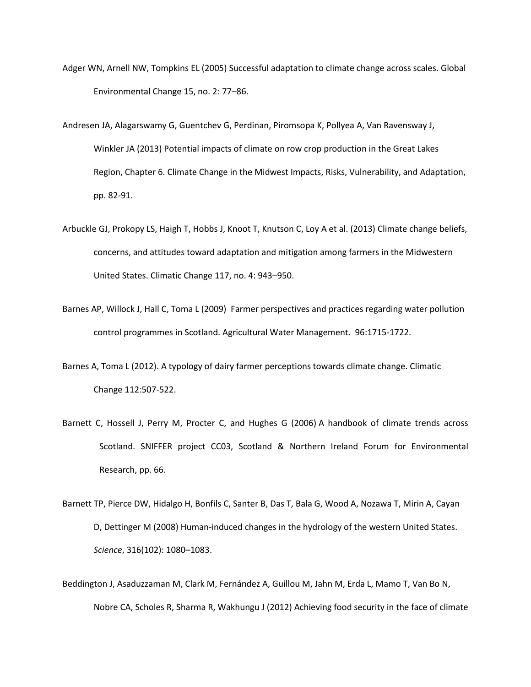- Adger WN, Arnell NW, Tompkins EL (2005) Successful adaptation to climate change across scales. Global Environmental Change 15, no. 2: 77–86.
- Andresen JA, Alagarswamy G, Guentchev G, Perdinan, Piromsopa K, Pollyea A, Van Ravensway J, Winkler JA (2013) Potential impacts of climate on row crop production in the Great Lakes Region, Chapter 6. Climate Change in the Midwest Impacts, Risks, Vulnerability, and Adaptation, pp. 82-91.
- Arbuckle GJ, Prokopy LS, Haigh T, Hobbs J, Knoot T, Knutson C, Loy A et al. (2013) Climate change beliefs, concerns, and attitudes toward adaptation and mitigation among farmers in the Midwestern United States. Climatic Change 117, no. 4: 943–950.
- Barnes AP, Willock J, Hall C, Toma L (2009) Farmer perspectives and practices regarding water pollution control programmes in Scotland. Agricultural Water Management. 96:1715-1722.
- Barnes A, Toma L (2012). A typology of dairy farmer perceptions towards climate change. Climatic Change 112:507-522.
- Barnett C, Hossell J, Perry M, Procter C, and Hughes G (2006) A handbook of climate trends across Scotland. SNIFFER project CC03, Scotland & Northern Ireland Forum for Environmental Research, pp. 66.
- Barnett TP, Pierce DW, Hidalgo H, Bonfils C, Santer B, Das T, Bala G, Wood A, Nozawa T, Mirin A, Cayan D, Dettinger M (2008) Human-induced changes in the hydrology of the western United States. *Science*, 316(102): 1080–1083.
- Beddington J, Asaduzzaman M, Clark M, Fernández A, Guillou M, Jahn M, Erda L, Mamo T, Van Bo N, Nobre CA, Scholes R, Sharma R, Wakhungu J (2012) Achieving food security in the face of climate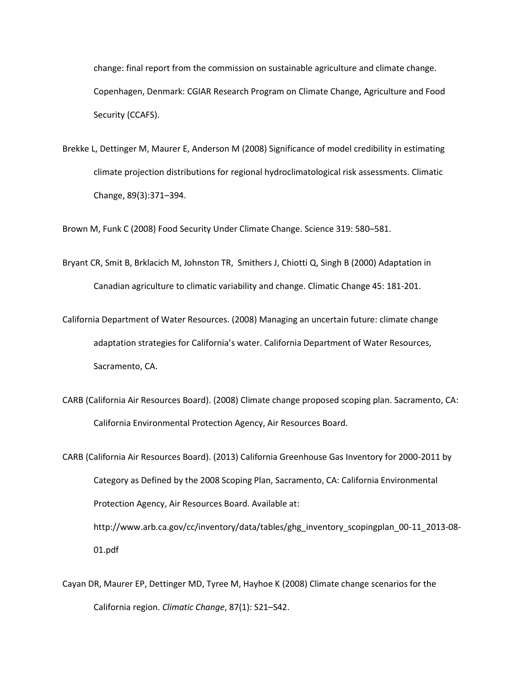change: final report from the commission on sustainable agriculture and climate change*.* Copenhagen, Denmark: CGIAR Research Program on Climate Change, Agriculture and Food Security (CCAFS).

Brekke L, Dettinger M, Maurer E, Anderson M (2008) Significance of model credibility in estimating climate projection distributions for regional hydroclimatological risk assessments. Climatic Change, 89(3):371–394.

Brown M, Funk C (2008) Food Security Under Climate Change. Science 319: 580–581.

- Bryant CR, Smit B, Brklacich M, Johnston TR, Smithers J, Chiotti Q, Singh B (2000) Adaptation in Canadian agriculture to climatic variability and change. Climatic Change 45: 181-201.
- California Department of Water Resources. (2008) Managing an uncertain future: climate change adaptation strategies for California's water. California Department of Water Resources, Sacramento, CA.
- CARB (California Air Resources Board). (2008) Climate change proposed scoping plan. Sacramento, CA: California Environmental Protection Agency, Air Resources Board.
- CARB (California Air Resources Board). (2013) California Greenhouse Gas Inventory for 2000-2011 by Category as Defined by the 2008 Scoping Plan, Sacramento, CA: California Environmental Protection Agency, Air Resources Board. Available at: http://www.arb.ca.gov/cc/inventory/data/tables/ghg\_inventory\_scopingplan\_00-11\_2013-08- 01.pdf
- Cayan DR, Maurer EP, Dettinger MD, Tyree M, Hayhoe K (2008) Climate change scenarios for the California region. *Climatic Change*, 87(1): S21–S42.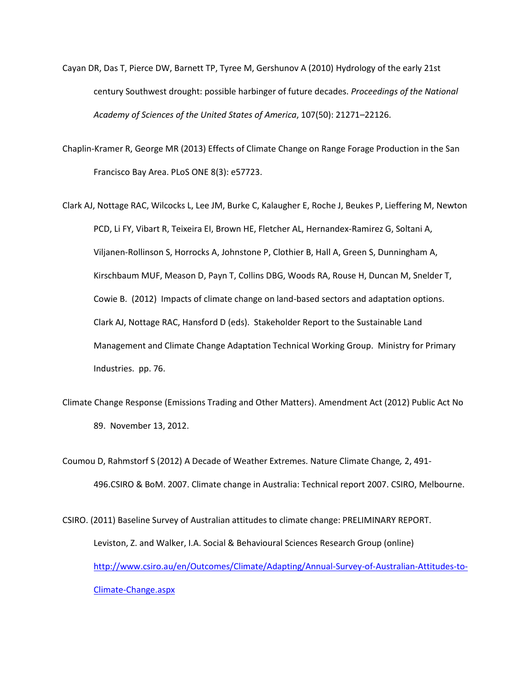- Cayan DR, Das T, Pierce DW, Barnett TP, Tyree M, Gershunov A (2010) Hydrology of the early 21st century Southwest drought: possible harbinger of future decades. *Proceedings of the National Academy of Sciences of the United States of America*, 107(50): 21271–22126.
- Chaplin-Kramer R, George MR (2013) Effects of Climate Change on Range Forage Production in the San Francisco Bay Area. PLoS ONE 8(3): e57723.
- Clark AJ, Nottage RAC, Wilcocks L, Lee JM, Burke C, Kalaugher E, Roche J, Beukes P, Lieffering M, Newton PCD, Li FY, Vibart R, Teixeira EI, Brown HE, Fletcher AL, Hernandex-Ramirez G, Soltani A, Viljanen-Rollinson S, Horrocks A, Johnstone P, Clothier B, Hall A, Green S, Dunningham A, Kirschbaum MUF, Meason D, Payn T, Collins DBG, Woods RA, Rouse H, Duncan M, Snelder T, Cowie B. (2012) Impacts of climate change on land-based sectors and adaptation options. Clark AJ, Nottage RAC, Hansford D (eds). Stakeholder Report to the Sustainable Land Management and Climate Change Adaptation Technical Working Group. Ministry for Primary Industries. pp. 76.
- Climate Change Response (Emissions Trading and Other Matters). Amendment Act (2012) Public Act No 89. November 13, 2012.
- Coumou D, Rahmstorf S (2012) A Decade of Weather Extremes. Nature Climate Change*,* 2, 491- 496.CSIRO & BoM. 2007. Climate change in Australia: Technical report 2007. CSIRO, Melbourne.
- CSIRO. (2011) Baseline Survey of Australian attitudes to climate change: PRELIMINARY REPORT. Leviston, Z. and Walker, I.A. Social & Behavioural Sciences Research Group (online) [http://www.csiro.au/en/Outcomes/Climate/Adapting/Annual-Survey-of-Australian-Attitudes-to-](http://www.csiro.au/en/Outcomes/Climate/Adapting/Annual-Survey-of-Australian-Attitudes-to-Climate-Change.aspx)[Climate-Change.aspx](http://www.csiro.au/en/Outcomes/Climate/Adapting/Annual-Survey-of-Australian-Attitudes-to-Climate-Change.aspx)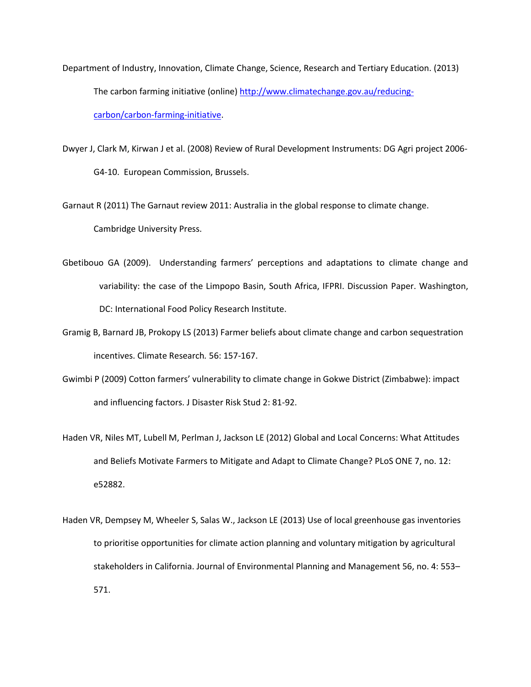- Department of Industry, Innovation, Climate Change, Science, Research and Tertiary Education. (2013) The carbon farming initiative (online) http://www.climatechange.gov.au/reducingcarbon/carbon-farming-initiative.
- Dwyer J, Clark M, Kirwan J et al. (2008) Review of Rural Development Instruments: DG Agri project 2006- G4-10. European Commission, Brussels.

Garnaut R (2011) The Garnaut review 2011: Australia in the global response to climate change. Cambridge University Press.

- Gbetibouo GA (2009). Understanding farmers' perceptions and adaptations to climate change and variability: the case of the Limpopo Basin, South Africa, IFPRI. Discussion Paper. Washington, DC: International Food Policy Research Institute.
- Gramig B, Barnard JB, Prokopy LS (2013) Farmer beliefs about climate change and carbon sequestration incentives. Climate Research*.* 56: 157-167.
- Gwimbi P (2009) Cotton farmers' vulnerability to climate change in Gokwe District (Zimbabwe): impact and influencing factors. J Disaster Risk Stud 2: 81-92.
- Haden VR, Niles MT, Lubell M, Perlman J, Jackson LE (2012) Global and Local Concerns: What Attitudes and Beliefs Motivate Farmers to Mitigate and Adapt to Climate Change? PLoS ONE 7, no. 12: e52882.
- Haden VR, Dempsey M, Wheeler S, Salas W., Jackson LE (2013) Use of local greenhouse gas inventories to prioritise opportunities for climate action planning and voluntary mitigation by agricultural stakeholders in California. Journal of Environmental Planning and Management 56, no. 4: 553– 571.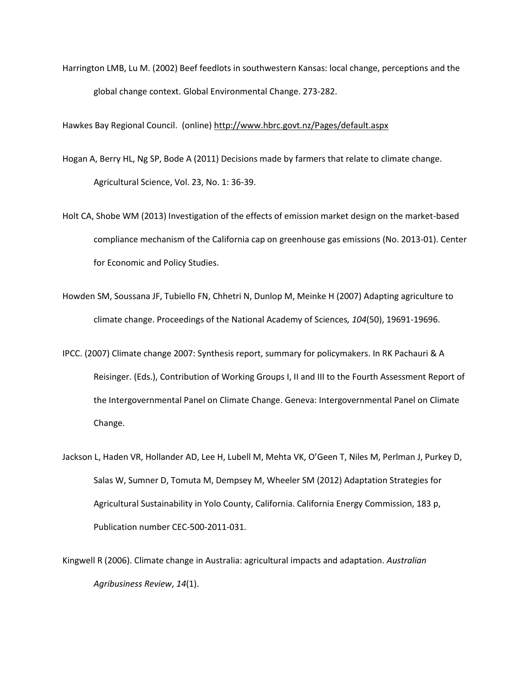Harrington LMB, Lu M. (2002) Beef feedlots in southwestern Kansas: local change, perceptions and the global change context. Global Environmental Change. 273-282.

Hawkes Bay Regional Council. (online[\) http://www.hbrc.govt.nz/Pages/default.aspx](http://www.hbrc.govt.nz/Pages/default.aspx)

- Hogan A, Berry HL, Ng SP, Bode A (2011) Decisions made by farmers that relate to climate change. Agricultural Science, Vol. 23, No. 1: 36-39.
- Holt CA, Shobe WM (2013) Investigation of the effects of emission market design on the market-based compliance mechanism of the California cap on greenhouse gas emissions (No. 2013-01). Center for Economic and Policy Studies.
- Howden SM, Soussana JF, Tubiello FN, Chhetri N, Dunlop M, Meinke H (2007) Adapting agriculture to climate change. Proceedings of the National Academy of Sciences*, 104*(50), 19691-19696.
- IPCC. (2007) Climate change 2007: Synthesis report, summary for policymakers. In RK Pachauri & A Reisinger. (Eds.), Contribution of Working Groups I, II and III to the Fourth Assessment Report of the Intergovernmental Panel on Climate Change. Geneva: Intergovernmental Panel on Climate Change.
- Jackson L, Haden VR, Hollander AD, Lee H, Lubell M, Mehta VK, O'Geen T, Niles M, Perlman J, Purkey D, Salas W, Sumner D, Tomuta M, Dempsey M, Wheeler SM (2012) Adaptation Strategies for Agricultural Sustainability in Yolo County, California. California Energy Commission, 183 p, Publication number CEC-500-2011-031.
- Kingwell R (2006). Climate change in Australia: agricultural impacts and adaptation. *Australian Agribusiness Review*, *14*(1).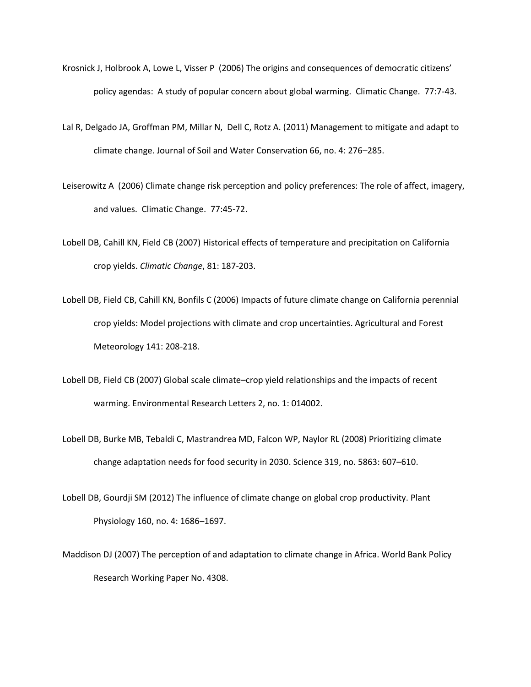- Krosnick J, Holbrook A, Lowe L, Visser P (2006) The origins and consequences of democratic citizens' policy agendas: A study of popular concern about global warming. Climatic Change. 77:7-43.
- Lal R, Delgado JA, Groffman PM, Millar N, Dell C, Rotz A. (2011) Management to mitigate and adapt to climate change. Journal of Soil and Water Conservation 66, no. 4: 276–285.
- Leiserowitz A (2006) Climate change risk perception and policy preferences: The role of affect, imagery, and values. Climatic Change. 77:45-72.
- Lobell DB, Cahill KN, Field CB (2007) Historical effects of temperature and precipitation on California crop yields. *Climatic Change*, 81: 187-203.
- Lobell DB, Field CB, Cahill KN, Bonfils C (2006) Impacts of future climate change on California perennial crop yields: Model projections with climate and crop uncertainties. Agricultural and Forest Meteorology 141: 208-218.
- Lobell DB, Field CB (2007) Global scale climate–crop yield relationships and the impacts of recent warming. Environmental Research Letters 2, no. 1: 014002.
- Lobell DB, Burke MB, Tebaldi C, Mastrandrea MD, Falcon WP, Naylor RL (2008) Prioritizing climate change adaptation needs for food security in 2030. Science 319, no. 5863: 607–610.
- Lobell DB, Gourdji SM (2012) The influence of climate change on global crop productivity. Plant Physiology 160, no. 4: 1686–1697.
- Maddison DJ (2007) The perception of and adaptation to climate change in Africa. World Bank Policy Research Working Paper No. 4308.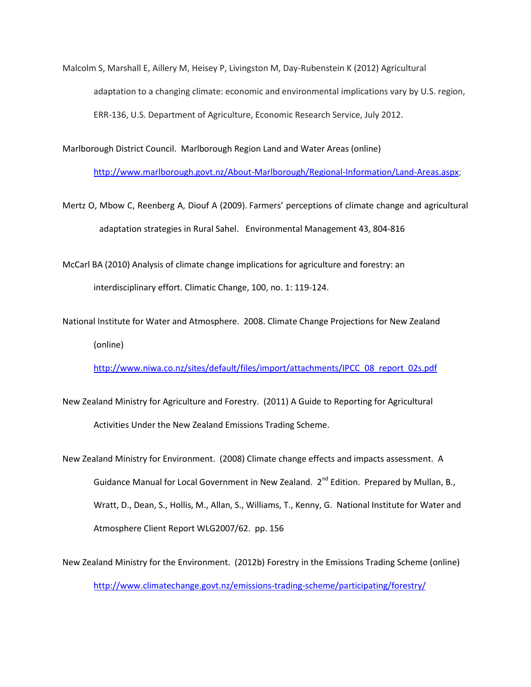Malcolm S, Marshall E, Aillery M, Heisey P, Livingston M, Day-Rubenstein K (2012) Agricultural adaptation to a changing climate: economic and environmental implications vary by U.S. region, ERR-136, U.S. Department of Agriculture, Economic Research Service, July 2012.

Marlborough District Council. Marlborough Region Land and Water Areas (online)

[http://www.marlborough.govt.nz/About-Marlborough/Regional-Information/Land-Areas.aspx;](http://www.marlborough.govt.nz/About-Marlborough/Regional-Information/Land-Areas.aspx)

Mertz O, Mbow C, Reenberg A, Diouf A (2009). Farmers' perceptions of climate change and agricultural adaptation strategies in Rural Sahel. [Environmental Management](http://www.springerlink.com/content/100370/?p=368939d4885f409399ee53efb161e200&pi=0) [43,](http://www.springerlink.com/content/100370/?p=368939d4885f409399ee53efb161e200&pi=0) 804-816

McCarl BA (2010) Analysis of climate change implications for agriculture and forestry: an interdisciplinary effort. Climatic Change, 100, no. 1: 119-124.

National Institute for Water and Atmosphere. 2008. Climate Change Projections for New Zealand (online)

[http://www.niwa.co.nz/sites/default/files/import/attachments/IPCC\\_08\\_report\\_02s.pdf](http://www.niwa.co.nz/sites/default/files/import/attachments/IPCC_08_report_02s.pdf)

- New Zealand Ministry for Agriculture and Forestry. (2011) A Guide to Reporting for Agricultural Activities Under the New Zealand Emissions Trading Scheme.
- New Zealand Ministry for Environment. (2008) Climate change effects and impacts assessment. A Guidance Manual for Local Government in New Zealand. 2<sup>nd</sup> Edition. Prepared by Mullan, B., Wratt, D., Dean, S., Hollis, M., Allan, S., Williams, T., Kenny, G. National Institute for Water and Atmosphere Client Report WLG2007/62. pp. 156

New Zealand Ministry for the Environment. (2012b) Forestry in the Emissions Trading Scheme (online) <http://www.climatechange.govt.nz/emissions-trading-scheme/participating/forestry/>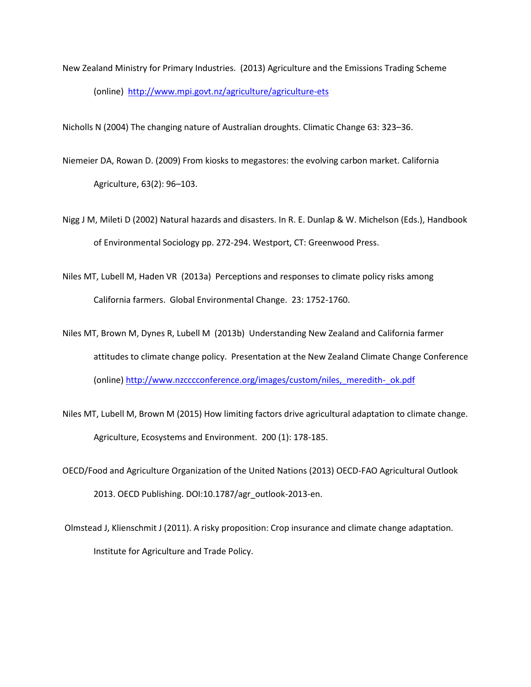New Zealand Ministry for Primary Industries. (2013) Agriculture and the Emissions Trading Scheme (online)<http://www.mpi.govt.nz/agriculture/agriculture-ets>

Nicholls N (2004) The changing nature of Australian droughts. Climatic Change 63: 323–36.

- Niemeier DA, Rowan D. (2009) From kiosks to megastores: the evolving carbon market. California Agriculture, 63(2): 96–103.
- Nigg J M, Mileti D (2002) Natural hazards and disasters. In R. E. Dunlap & W. Michelson (Eds.), Handbook of Environmental Sociology pp. 272-294. Westport, CT: Greenwood Press.
- Niles MT, Lubell M, Haden VR (2013a) Perceptions and responses to climate policy risks among California farmers. Global Environmental Change. 23: 1752-1760.
- Niles MT, Brown M, Dynes R, Lubell M (2013b) Understanding New Zealand and California farmer attitudes to climate change policy. Presentation at the New Zealand Climate Change Conference (online) [http://www.nzcccconference.org/images/custom/niles,\\_meredith-\\_ok.pdf](http://www.nzcccconference.org/images/custom/niles,_meredith-_ok.pdf)
- Niles MT, Lubell M, Brown M (2015) How limiting factors drive agricultural adaptation to climate change. Agriculture, Ecosystems and Environment. 200 (1): 178-185.
- OECD/Food and Agriculture Organization of the United Nations (2013) OECD-FAO Agricultural Outlook 2013. OECD Publishing. DOI:10.1787/agr\_outlook-2013-en.
- Olmstead J, Klienschmit J (2011). A risky proposition: Crop insurance and climate change adaptation. Institute for Agriculture and Trade Policy.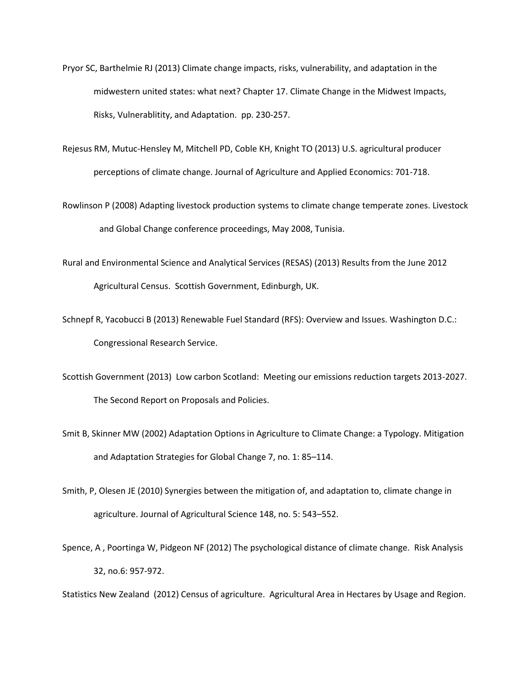- Pryor SC, Barthelmie RJ (2013) Climate change impacts, risks, vulnerability, and adaptation in the midwestern united states: what next? Chapter 17. Climate Change in the Midwest Impacts, Risks, Vulnerablitity, and Adaptation. pp. 230-257.
- Rejesus RM, Mutuc-Hensley M, Mitchell PD, Coble KH, Knight TO (2013) U.S. agricultural producer perceptions of climate change. Journal of Agriculture and Applied Economics: 701-718.
- Rowlinson P (2008) Adapting livestock production systems to climate change temperate zones. Livestock and Global Change conference proceedings, May 2008, Tunisia.
- Rural and Environmental Science and Analytical Services (RESAS) (2013) Results from the June 2012 Agricultural Census. Scottish Government, Edinburgh, UK.
- Schnepf R, Yacobucci B (2013) Renewable Fuel Standard (RFS): Overview and Issues. Washington D.C.: Congressional Research Service.
- Scottish Government (2013) Low carbon Scotland: Meeting our emissions reduction targets 2013-2027. The Second Report on Proposals and Policies.
- Smit B, Skinner MW (2002) Adaptation Options in Agriculture to Climate Change: a Typology. Mitigation and Adaptation Strategies for Global Change 7, no. 1: 85–114.
- Smith, P, Olesen JE (2010) Synergies between the mitigation of, and adaptation to, climate change in agriculture. Journal of Agricultural Science 148, no. 5: 543–552.
- Spence, A , Poortinga W, Pidgeon NF (2012) The psychological distance of climate change. Risk Analysis 32, no.6: 957-972.

Statistics New Zealand (2012) Census of agriculture. Agricultural Area in Hectares by Usage and Region.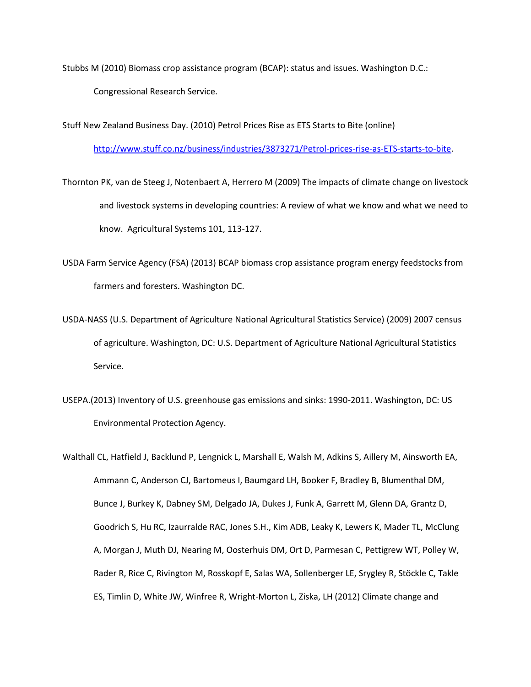Stubbs M (2010) Biomass crop assistance program (BCAP): status and issues. Washington D.C.: Congressional Research Service.

Stuff New Zealand Business Day. (2010) Petrol Prices Rise as ETS Starts to Bite (online)

[http://www.stuff.co.nz/business/industries/3873271/Petrol-prices-rise-as-ETS-starts-to-bite.](http://www.stuff.co.nz/business/industries/3873271/Petrol-prices-rise-as-ETS-starts-to-bite)

Thornton PK, van de Steeg J, Notenbaert A, Herrero M (2009) The impacts of climate change on livestock and livestock systems in developing countries: A review of what we know and what we need to know. Agricultural Systems 101, 113-127.

USDA Farm Service Agency (FSA) (2013) BCAP biomass crop assistance program energy feedstocks from farmers and foresters. Washington DC.

USDA-NASS (U.S. Department of Agriculture National Agricultural Statistics Service) (2009) 2007 census of agriculture. Washington, DC: U.S. Department of Agriculture National Agricultural Statistics Service.

USEPA.(2013) Inventory of U.S. greenhouse gas emissions and sinks: 1990-2011. Washington, DC: US Environmental Protection Agency.

Walthall CL, Hatfield J, Backlund P, Lengnick L, Marshall E, Walsh M, Adkins S, Aillery M, Ainsworth EA, Ammann C, Anderson CJ, Bartomeus I, Baumgard LH, Booker F, Bradley B, Blumenthal DM, Bunce J, Burkey K, Dabney SM, Delgado JA, Dukes J, Funk A, Garrett M, Glenn DA, Grantz D, Goodrich S, Hu RC, Izaurralde RAC, Jones S.H., Kim ADB, Leaky K, Lewers K, Mader TL, McClung A, Morgan J, Muth DJ, Nearing M, Oosterhuis DM, Ort D, Parmesan C, Pettigrew WT, Polley W, Rader R, Rice C, Rivington M, Rosskopf E, Salas WA, Sollenberger LE, Srygley R, Stöckle C, Takle ES, Timlin D, White JW, Winfree R, Wright-Morton L, Ziska, LH (2012) Climate change and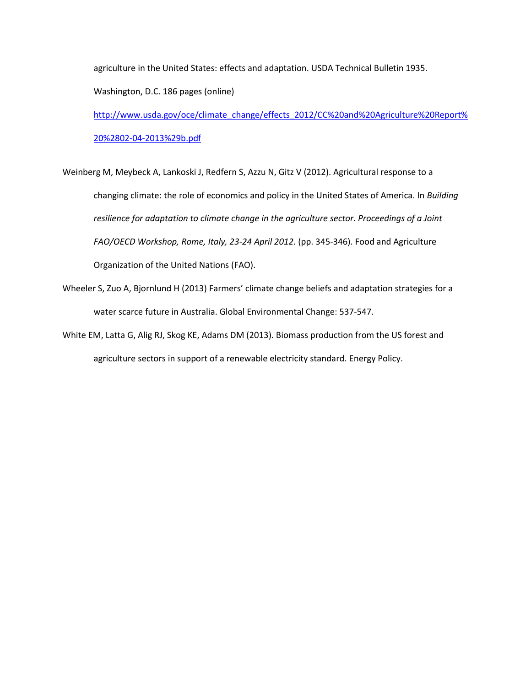agriculture in the United States: effects and adaptation. USDA Technical Bulletin 1935.

Washington, D.C. 186 pages (online)

[http://www.usda.gov/oce/climate\\_change/effects\\_2012/CC%20and%20Agriculture%20Report%](http://www.usda.gov/oce/climate_change/effects_2012/CC%20and%20Agriculture%20Report%20%2802-04-2013%29b.pdf) [20%2802-04-2013%29b.pdf](http://www.usda.gov/oce/climate_change/effects_2012/CC%20and%20Agriculture%20Report%20%2802-04-2013%29b.pdf)

Weinberg M, Meybeck A, Lankoski J, Redfern S, Azzu N, Gitz V (2012). Agricultural response to a changing climate: the role of economics and policy in the United States of America. In *Building resilience for adaptation to climate change in the agriculture sector. Proceedings of a Joint FAO/OECD Workshop, Rome, Italy, 23-24 April 2012.* (pp. 345-346). Food and Agriculture Organization of the United Nations (FAO).

- Wheeler S, Zuo A, Bjornlund H (2013) Farmers' climate change beliefs and adaptation strategies for a water scarce future in Australia. Global Environmental Change: 537-547.
- White EM, Latta G, Alig RJ, Skog KE, Adams DM (2013). Biomass production from the US forest and agriculture sectors in support of a renewable electricity standard. Energy Policy.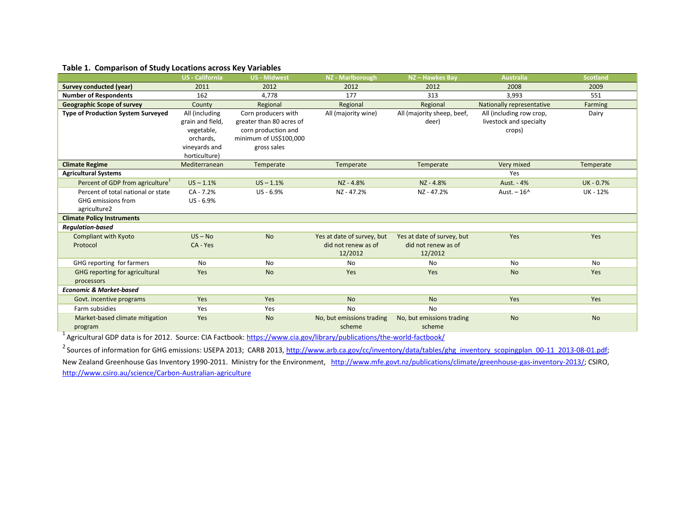# **Table 1. Comparison of Study Locations across Key Variables**

|                                              | US - California  | <b>US - Midwest</b>      | <b>NZ</b> - Marlborough    | NZ-Hawkes Bay              | <b>Australia</b>          | <b>Scotland</b> |
|----------------------------------------------|------------------|--------------------------|----------------------------|----------------------------|---------------------------|-----------------|
| <b>Survey conducted (year)</b>               | 2011             | 2012                     | 2012                       | 2012                       | 2008                      | 2009            |
| <b>Number of Respondents</b>                 | 162              | 4,778                    | 177                        | 313                        | 3,993                     | 551             |
| <b>Geographic Scope of survey</b>            | County           | Regional                 | Regional                   | Regional                   | Nationally representative | Farming         |
| <b>Type of Production System Surveyed</b>    | All (including   | Corn producers with      | All (majority wine)        | All (majority sheep, beef, | All (including row crop,  | Dairy           |
|                                              | grain and field, | greater than 80 acres of |                            | deer)                      | livestock and specialty   |                 |
|                                              | vegetable,       | corn production and      |                            |                            | crops)                    |                 |
|                                              | orchards,        | minimum of US\$100,000   |                            |                            |                           |                 |
|                                              | vineyards and    | gross sales              |                            |                            |                           |                 |
|                                              | horticulture)    |                          |                            |                            |                           |                 |
| <b>Climate Regime</b>                        | Mediterranean    | Temperate                | Temperate                  | Temperate                  | Very mixed                | Temperate       |
| <b>Agricultural Systems</b>                  |                  |                          |                            |                            | Yes                       |                 |
| Percent of GDP from agriculture <sup>1</sup> | $US - 1.1%$      | $US - 1.1%$              | NZ-4.8%                    | NZ - 4.8%                  | Aust. - 4%                | UK-0.7%         |
| Percent of total national or state           | $CA - 7.2%$      | US-6.9%                  | NZ-47.2%                   | NZ-47.2%                   | Aust. $-16^$              | UK - 12%        |
| GHG emissions from                           | US-6.9%          |                          |                            |                            |                           |                 |
| agriculture2                                 |                  |                          |                            |                            |                           |                 |
| <b>Climate Policy Instruments</b>            |                  |                          |                            |                            |                           |                 |
| <b>Regulation-based</b>                      |                  |                          |                            |                            |                           |                 |
| <b>Compliant with Kyoto</b>                  | $US - No$        | <b>No</b>                | Yes at date of survey, but | Yes at date of survey, but | Yes                       | Yes             |
| Protocol                                     | CA - Yes         |                          | did not renew as of        | did not renew as of        |                           |                 |
|                                              |                  |                          | 12/2012                    | 12/2012                    |                           |                 |
| GHG reporting for farmers                    | <b>No</b>        | N <sub>0</sub>           | <b>No</b>                  | <b>No</b>                  | <b>No</b>                 | <b>No</b>       |
| <b>GHG reporting for agricultural</b>        | Yes              | <b>No</b>                | Yes                        | Yes                        | <b>No</b>                 | Yes             |
| processors                                   |                  |                          |                            |                            |                           |                 |
| <b>Economic &amp; Market-based</b>           |                  |                          |                            |                            |                           |                 |
| Govt. incentive programs                     | Yes              | Yes                      | <b>No</b>                  | <b>No</b>                  | Yes                       | Yes             |
| Farm subsidies                               | Yes              | Yes                      | <b>No</b>                  | <b>No</b>                  |                           |                 |
| Market-based climate mitigation              | Yes              | <b>No</b>                | No, but emissions trading  | No, but emissions trading  | <b>No</b>                 | <b>No</b>       |
| program                                      |                  |                          | scheme                     | scheme                     |                           |                 |

<sup>1</sup> Agricultural GDP data is for 2012. Source: CIA Factbook[: https://www.cia.gov/library/publications/the-world-factbook/](https://www.cia.gov/library/publications/the-world-factbook/)

<sup>2</sup> Sources of information for GHG emissions: USEPA 2013; CARB 2013, [http://www.arb.ca.gov/cc/inventory/data/tables/ghg\\_inventory\\_scopingplan\\_00-11\\_2013-08-01.pdf;](http://www.arb.ca.gov/cc/inventory/data/tables/ghg_inventory_scopingplan_00-11_2013-08-01.pdf)

New Zealand Greenhouse Gas Inventory 1990-2011. Ministry for the Environment, [http://www.mfe.govt.nz/publications/climate/greenhouse-gas-inventory-2013/;](http://www.mfe.govt.nz/publications/climate/greenhouse-gas-inventory-2013/) CSIRO, <http://www.csiro.au/science/Carbon-Australian-agriculture>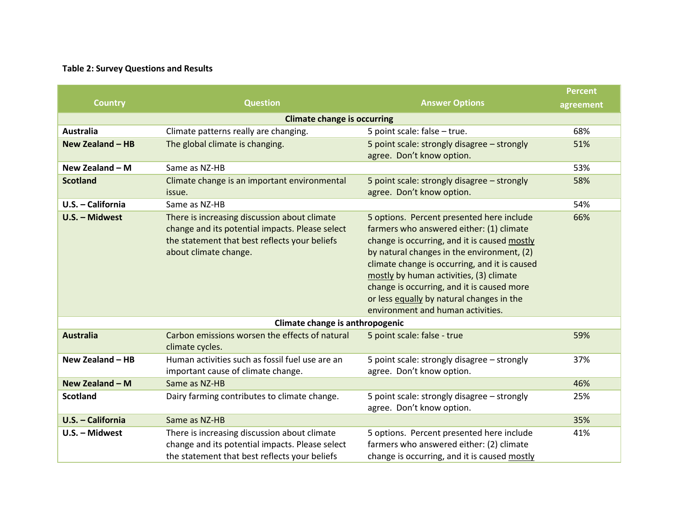# **Table 2: Survey Questions and Results**

|                                    |                                                                                                                                                                           |                                                                                                                                                                                                                                                                                                                                                                                                                 | <b>Percent</b> |  |  |  |  |
|------------------------------------|---------------------------------------------------------------------------------------------------------------------------------------------------------------------------|-----------------------------------------------------------------------------------------------------------------------------------------------------------------------------------------------------------------------------------------------------------------------------------------------------------------------------------------------------------------------------------------------------------------|----------------|--|--|--|--|
| <b>Country</b>                     | <b>Question</b>                                                                                                                                                           | <b>Answer Options</b>                                                                                                                                                                                                                                                                                                                                                                                           | agreement      |  |  |  |  |
| <b>Climate change is occurring</b> |                                                                                                                                                                           |                                                                                                                                                                                                                                                                                                                                                                                                                 |                |  |  |  |  |
| <b>Australia</b>                   | Climate patterns really are changing.                                                                                                                                     | 5 point scale: false - true.                                                                                                                                                                                                                                                                                                                                                                                    | 68%            |  |  |  |  |
| New Zealand $-$ HB                 | The global climate is changing.                                                                                                                                           | 5 point scale: strongly disagree - strongly                                                                                                                                                                                                                                                                                                                                                                     | 51%            |  |  |  |  |
|                                    |                                                                                                                                                                           | agree. Don't know option.                                                                                                                                                                                                                                                                                                                                                                                       |                |  |  |  |  |
| New Zealand $- M$                  | Same as NZ-HB                                                                                                                                                             |                                                                                                                                                                                                                                                                                                                                                                                                                 | 53%            |  |  |  |  |
| <b>Scotland</b>                    | Climate change is an important environmental<br>issue.                                                                                                                    | 5 point scale: strongly disagree - strongly<br>agree. Don't know option.                                                                                                                                                                                                                                                                                                                                        | 58%            |  |  |  |  |
| U.S. - California                  | Same as NZ-HB                                                                                                                                                             |                                                                                                                                                                                                                                                                                                                                                                                                                 | 54%            |  |  |  |  |
| U.S. - Midwest                     | There is increasing discussion about climate<br>change and its potential impacts. Please select<br>the statement that best reflects your beliefs<br>about climate change. | 5 options. Percent presented here include<br>farmers who answered either: (1) climate<br>change is occurring, and it is caused mostly<br>by natural changes in the environment, (2)<br>climate change is occurring, and it is caused<br>mostly by human activities, (3) climate<br>change is occurring, and it is caused more<br>or less equally by natural changes in the<br>environment and human activities. | 66%            |  |  |  |  |
| Climate change is anthropogenic    |                                                                                                                                                                           |                                                                                                                                                                                                                                                                                                                                                                                                                 |                |  |  |  |  |
| <b>Australia</b>                   | Carbon emissions worsen the effects of natural<br>climate cycles.                                                                                                         | 5 point scale: false - true                                                                                                                                                                                                                                                                                                                                                                                     | 59%            |  |  |  |  |
| New Zealand - HB                   | Human activities such as fossil fuel use are an<br>important cause of climate change.                                                                                     | 5 point scale: strongly disagree - strongly<br>agree. Don't know option.                                                                                                                                                                                                                                                                                                                                        | 37%            |  |  |  |  |
| New Zealand - M                    | Same as NZ-HB                                                                                                                                                             |                                                                                                                                                                                                                                                                                                                                                                                                                 | 46%            |  |  |  |  |
| <b>Scotland</b>                    | Dairy farming contributes to climate change.                                                                                                                              | 5 point scale: strongly disagree - strongly<br>agree. Don't know option.                                                                                                                                                                                                                                                                                                                                        | 25%            |  |  |  |  |
| U.S. - California                  | Same as NZ-HB                                                                                                                                                             |                                                                                                                                                                                                                                                                                                                                                                                                                 | 35%            |  |  |  |  |
| U.S. - Midwest                     | There is increasing discussion about climate<br>change and its potential impacts. Please select<br>the statement that best reflects your beliefs                          | 5 options. Percent presented here include<br>farmers who answered either: (2) climate<br>change is occurring, and it is caused mostly                                                                                                                                                                                                                                                                           | 41%            |  |  |  |  |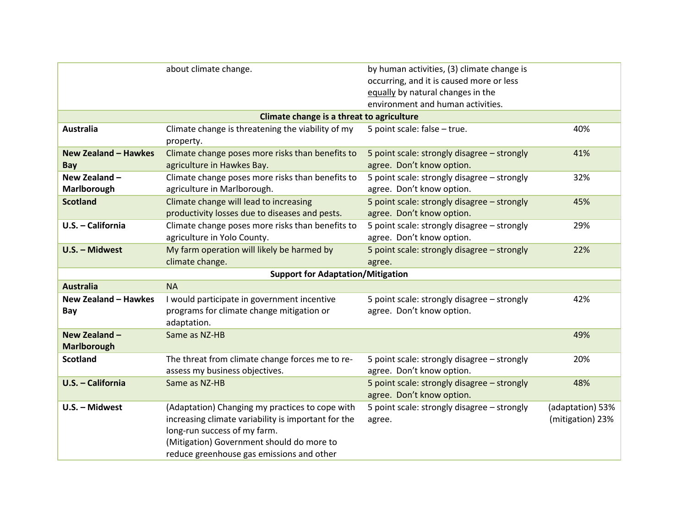|                                    | about climate change.                                                                                                                                                                                                            | by human activities, (3) climate change is<br>occurring, and it is caused more or less<br>equally by natural changes in the<br>environment and human activities. |                                      |
|------------------------------------|----------------------------------------------------------------------------------------------------------------------------------------------------------------------------------------------------------------------------------|------------------------------------------------------------------------------------------------------------------------------------------------------------------|--------------------------------------|
|                                    | Climate change is a threat to agriculture                                                                                                                                                                                        |                                                                                                                                                                  |                                      |
| <b>Australia</b>                   | Climate change is threatening the viability of my<br>property.                                                                                                                                                                   | 5 point scale: false - true.                                                                                                                                     | 40%                                  |
| <b>New Zealand - Hawkes</b><br>Bay | Climate change poses more risks than benefits to<br>agriculture in Hawkes Bay.                                                                                                                                                   | 5 point scale: strongly disagree - strongly<br>agree. Don't know option.                                                                                         | 41%                                  |
| New Zealand -<br>Marlborough       | Climate change poses more risks than benefits to<br>agriculture in Marlborough.                                                                                                                                                  | 5 point scale: strongly disagree - strongly<br>agree. Don't know option.                                                                                         | 32%                                  |
| <b>Scotland</b>                    | Climate change will lead to increasing<br>productivity losses due to diseases and pests.                                                                                                                                         | 5 point scale: strongly disagree - strongly<br>agree. Don't know option.                                                                                         | 45%                                  |
| U.S. - California                  | Climate change poses more risks than benefits to<br>agriculture in Yolo County.                                                                                                                                                  | 5 point scale: strongly disagree - strongly<br>agree. Don't know option.                                                                                         | 29%                                  |
| U.S. - Midwest                     | My farm operation will likely be harmed by<br>climate change.                                                                                                                                                                    | 5 point scale: strongly disagree - strongly<br>agree.                                                                                                            | 22%                                  |
|                                    | <b>Support for Adaptation/Mitigation</b>                                                                                                                                                                                         |                                                                                                                                                                  |                                      |
| <b>Australia</b>                   | <b>NA</b>                                                                                                                                                                                                                        |                                                                                                                                                                  |                                      |
| <b>New Zealand - Hawkes</b><br>Bay | I would participate in government incentive<br>programs for climate change mitigation or<br>adaptation.                                                                                                                          | 5 point scale: strongly disagree - strongly<br>agree. Don't know option.                                                                                         | 42%                                  |
| New Zealand -<br>Marlborough       | Same as NZ-HB                                                                                                                                                                                                                    |                                                                                                                                                                  | 49%                                  |
| <b>Scotland</b>                    | The threat from climate change forces me to re-<br>assess my business objectives.                                                                                                                                                | 5 point scale: strongly disagree - strongly<br>agree. Don't know option.                                                                                         | 20%                                  |
| U.S. - California                  | Same as NZ-HB                                                                                                                                                                                                                    | 5 point scale: strongly disagree - strongly<br>agree. Don't know option.                                                                                         | 48%                                  |
| U.S. - Midwest                     | (Adaptation) Changing my practices to cope with<br>increasing climate variability is important for the<br>long-run success of my farm.<br>(Mitigation) Government should do more to<br>reduce greenhouse gas emissions and other | 5 point scale: strongly disagree - strongly<br>agree.                                                                                                            | (adaptation) 53%<br>(mitigation) 23% |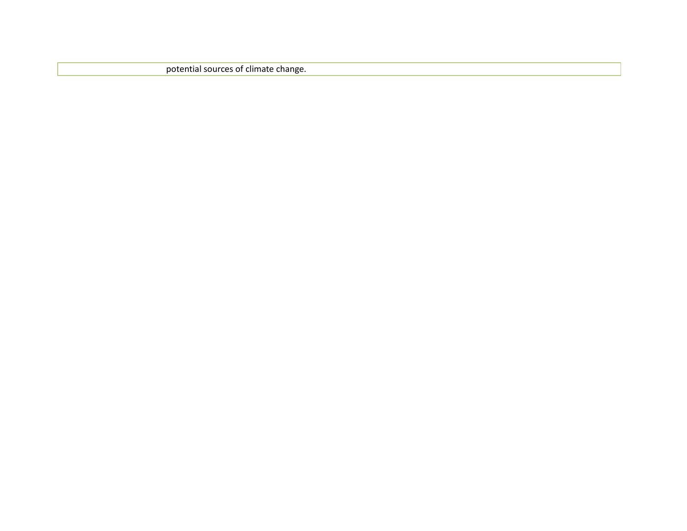potential sources of climate change.